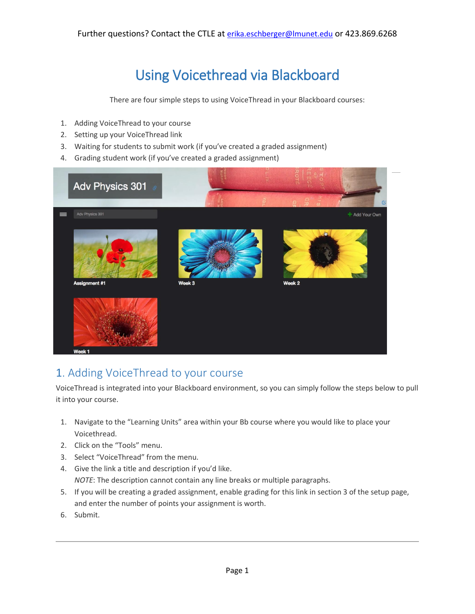# Using Voicethread via Blackboard

There are four simple steps to using VoiceThread in your Blackboard courses:

- 1. Adding VoiceThread to your course
- 2. Setting up your VoiceThread link
- 3. Waiting for students to submit work (if you've created a graded assignment)
- 4. Grading student work (if you've created a graded assignment)



# 1. Adding VoiceThread to your course

VoiceThread is integrated into your Blackboard environment, so you can simply follow the steps below to pull it into your course.

- 1. Navigate to the "Learning Units" area within your Bb course where you would like to place your Voicethread.
- 2. Click on the "Tools" menu.
- 3. Select "VoiceThread" from the menu.
- 4. Give the link a title and description if you'd like. *NOTE*: The description cannot contain any line breaks or multiple paragraphs.
- 5. If you will be creating a graded assignment, enable grading for this link in section 3 of the setup page, and enter the number of points your assignment is worth.
- 6. Submit.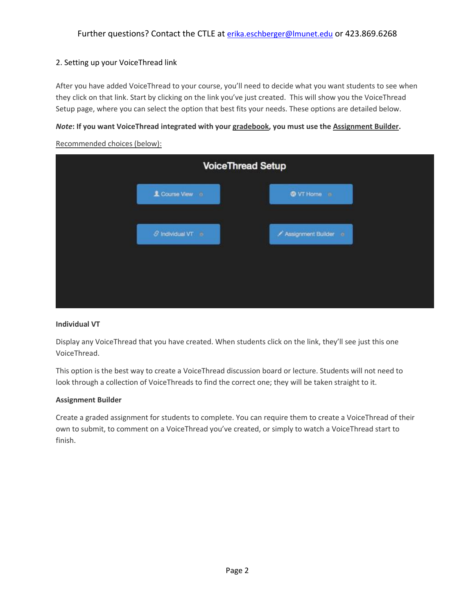### 2. Setting up your VoiceThread link

After you have added VoiceThread to your course, you'll need to decide what you want students to see when they click on that link. Start by clicking on the link you've just created. This will show you the VoiceThread Setup page, where you can select the option that best fits your needs. These options are detailed below.

#### *Note***: If you want VoiceThread integrated with your gradebook, you must use the Assignment Builder.**

| <b>VoiceThread Setup</b>           |                      |
|------------------------------------|----------------------|
| Course View o                      | <b>O</b> VT Home in  |
| $\mathcal O$ Individual VT $\circ$ | Assignment Builder o |

Recommended choices (below):

#### **Individual VT**

Display any VoiceThread that you have created. When students click on the link, they'll see just this one VoiceThread.

This option is the best way to create a VoiceThread discussion board or lecture. Students will not need to look through a collection of VoiceThreads to find the correct one; they will be taken straight to it.

#### **Assignment Builder**

Create a graded assignment for students to complete. You can require them to create a VoiceThread of their own to submit, to comment on a VoiceThread you've created, or simply to watch a VoiceThread start to finish.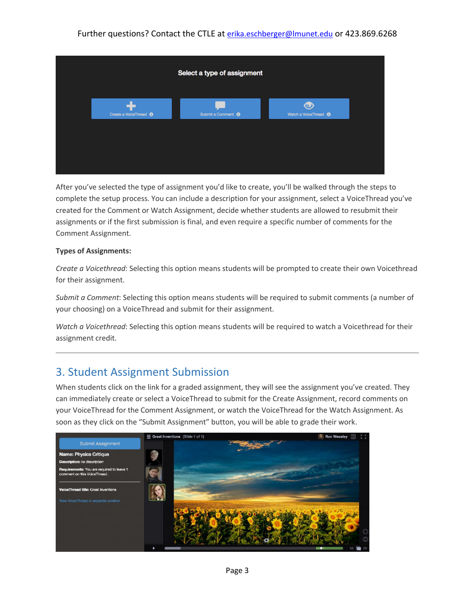### Further questions? Contact the CTLE at [erika.eschberger@lmunet.edu](mailto:erika.eschberger@lmunet.edu) or 423.869.6268



After you've selected the type of assignment you'd like to create, you'll be walked through the steps to complete the setup process. You can include a description for your assignment, select a VoiceThread you've created for the Comment or Watch Assignment, decide whether students are allowed to resubmit their assignments or if the first submission is final, and even require a specific number of comments for the Comment Assignment.

#### **Types of Assignments:**

*Create a Voicethread*: Selecting this option means students will be prompted to create their own Voicethread for their assignment.

*Submit a Comment*: Selecting this option means students will be required to submit comments (a number of your choosing) on a VoiceThread and submit for their assignment.

*Watch a Voicethread*: Selecting this option means students will be required to watch a Voicethread for their assignment credit.

## 3. Student Assignment Submission

When students click on the link for a graded assignment, they will see the assignment you've created. They can immediately create or select a VoiceThread to submit for the Create Assignment, record comments on your VoiceThread for the Comment Assignment, or watch the VoiceThread for the Watch Assignment. As soon as they click on the "Submit Assignment" button, you will be able to grade their work.